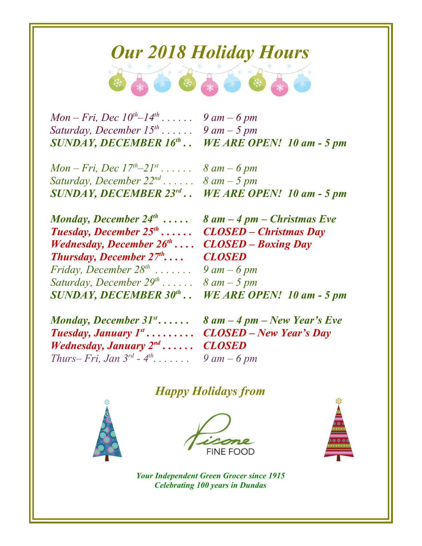## *Our 2018 Holiday Hours*

*Mon – Fri, Dec 10th–14th . . . . . . 9 am – 6 pm Saturday, December 15th . . . . . . 9 am – 5 pm*

*SUNDAY, DECEMBER 16th . . WE ARE OPEN! 10 am - 5 pm*

*Mon – Fri, Dec 17th–21st . . . . . . 8 am – 6 pm Saturday, December 22nd . . . . . . 8 am – 5 pm SUNDAY, DECEMBER 23rd . . WE ARE OPEN! 10 am - 5 pm*

| Monday, December $24^{th}$                 |
|--------------------------------------------|
| <b>Tuesday, December <math>25th</math></b> |
| Wednesday, December $26^{th} \ldots$ .     |
| <b>Thursday, December 27th</b>             |
| Friday, December $28^{th}$                 |
| Saturday, December $29^{th}$               |
| <b>SUNDAY, DECEMBER 30th.</b>              |

 *. . . . . 8 am – 4 pm – Christmas Eve . . . . . . CLOSED – Christmas Day . . . . CLOSED – Boxing Day . . . . CLOSED . . . . . . . 9 am – 6 pm . . . . . . 8 am – 5 pm . . WE ARE OPEN! 10 am - 5 pm*

| Monday, December 31 $^{st}$                 |  |
|---------------------------------------------|--|
| <b>Tuesday, January <math>I^{st}</math></b> |  |
| <i>Wednesday, January</i> $2^{nd}$          |  |
| Thurs– Fri, Jan $3^{rd}$ - $4^{th}$         |  |

*. . . . . . 8 am – 4 pm – New Year's Eve . . . . . . . . . CLOSED – New Year's Day . . . . . . CLOSED . . . . . . . 9 am – 6 pm*

## *Happy Holidays from*







*Your Independent Green Grocer since 1915 Celebrating 100 years in Dundas*